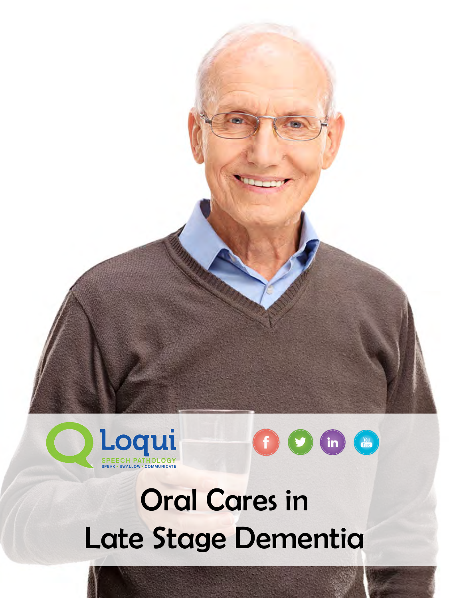



## Oral Cares in Late Stage Dementia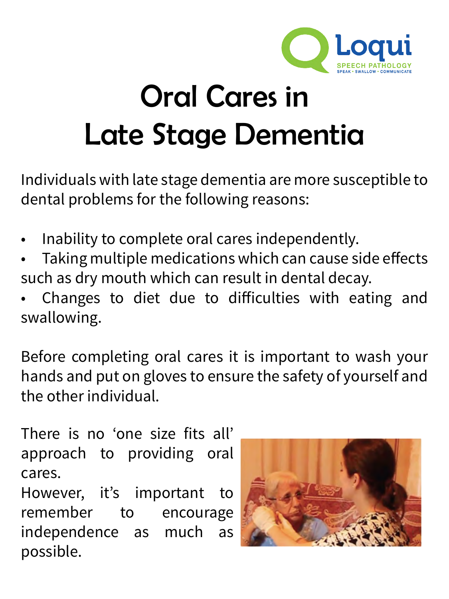

## Oral Cares in Late Stage Dementia

Individuals with late stage dementia are more susceptible to dental problems for the following reasons:

- Inability to complete oral cares independently.
- Taking multiple medications which can cause side effects such as dry mouth which can result in dental decay.
- Changes to diet due to difficulties with eating and swallowing.

Before completing oral cares it is important to wash your hands and put on gloves to ensure the safety of yourself and the other individual.

There is no 'one size fits all' approach to providing oral cares.

However, it's important to remember to encourage independence as much as possible.

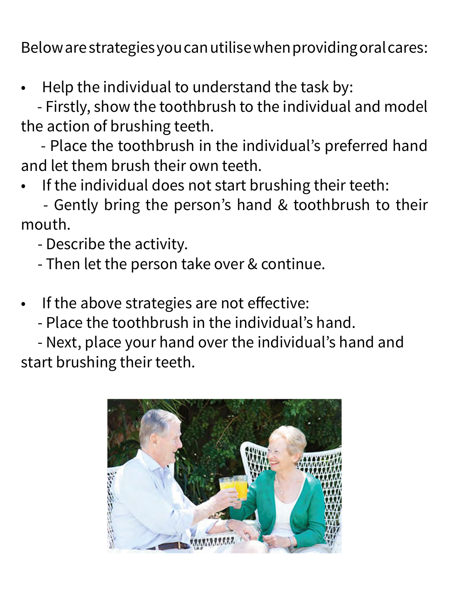Below are strategies you can utilise when providing oral cares:

Help the individual to understand the task by:

- Firstly, show the toothbrush to the individual and model the action of brushing teeth.

- Place the toothbrush in the individual's preferred hand and let them brush their own teeth.

If the individual does not start brushing their teeth:

- Gently bring the person's hand & toothbrush to their mouth.

- Describe the activity.

- Then let the person take over & continue.
- If the above strategies are not effective:
	- Place the toothbrush in the individual's hand.

- Next, place your hand over the individual's hand and start brushing their teeth.